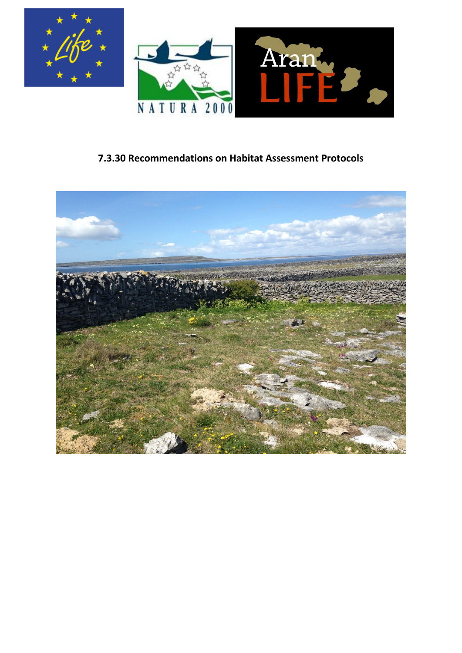

# **7.3.30 Recommendations on Habitat Assessment Protocols**

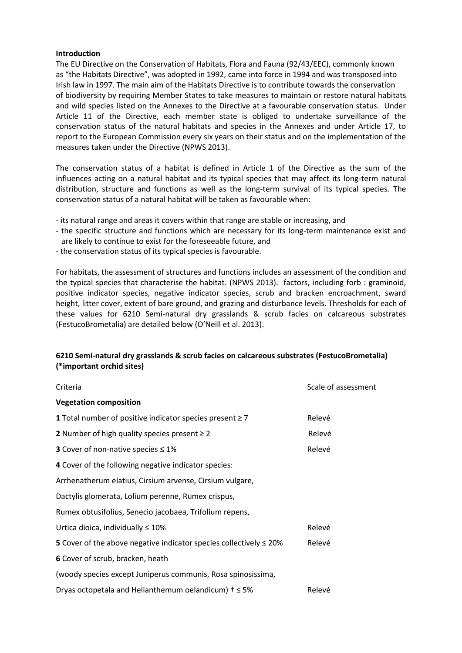#### **Introduction**

The EU Directive on the Conservation of Habitats, Flora and Fauna (92/43/EEC), commonly known as "the Habitats Directive", was adopted in 1992, came into force in 1994 and was transposed into Irish law in 1997. The main aim of the Habitats Directive is to contribute towards the conservation of biodiversity by requiring Member States to take measures to maintain or restore natural habitats and wild species listed on the Annexes to the Directive at a favourable conservation status. Under Article 11 of the Directive, each member state is obliged to undertake surveillance of the conservation status of the natural habitats and species in the Annexes and under Article 17, to report to the European Commission every six years on their status and on the implementation of the measures taken under the Directive (NPWS 2013).

The conservation status of a habitat is defined in Article 1 of the Directive as the sum of the influences acting on a natural habitat and its typical species that may affect its long-term natural distribution, structure and functions as well as the long-term survival of its typical species. The conservation status of a natural habitat will be taken as favourable when:

- its natural range and areas it covers within that range are stable or increasing, and
- the specific structure and functions which are necessary for its long-term maintenance exist and are likely to continue to exist for the foreseeable future, and
- the conservation status of its typical species is favourable.

For habitats, the assessment of structures and functions includes an assessment of the condition and the typical species that characterise the habitat. (NPWS 2013). factors, including forb : graminoid, positive indicator species, negative indicator species, scrub and bracken encroachment, sward height, litter cover, extent of bare ground, and grazing and disturbance levels. Thresholds for each of these values for 6210 Semi-natural dry grasslands & scrub facies on calcareous substrates (FestucoBrometalia) are detailed below (O'Neill et al. 2013).

## **6210 Semi-natural dry grasslands & scrub facies on calcareous substrates (FestucoBrometalia) (\*important orchid sites)**

| Criteria                                                                       | Scale of assessment |
|--------------------------------------------------------------------------------|---------------------|
| <b>Vegetation composition</b>                                                  |                     |
| 1 Total number of positive indicator species present $\geq 7$                  | Relevé              |
| 2 Number of high quality species present $\geq 2$                              | Relevé              |
| <b>3</b> Cover of non-native species $\leq 1\%$                                | Relevé              |
| 4 Cover of the following negative indicator species:                           |                     |
| Arrhenatherum elatius, Cirsium arvense, Cirsium vulgare,                       |                     |
| Dactylis glomerata, Lolium perenne, Rumex crispus,                             |                     |
| Rumex obtusifolius, Senecio jacobaea, Trifolium repens,                        |                     |
| Urtica dioica, individually $\leq 10\%$                                        | Relevé              |
| <b>5</b> Cover of the above negative indicator species collectively $\leq$ 20% | Relevé              |
| 6 Cover of scrub, bracken, heath                                               |                     |
| (woody species except Juniperus communis, Rosa spinosissima,                   |                     |
| Dryas octopetala and Helianthemum oelandicum) $t \leq 5\%$                     | Relevé              |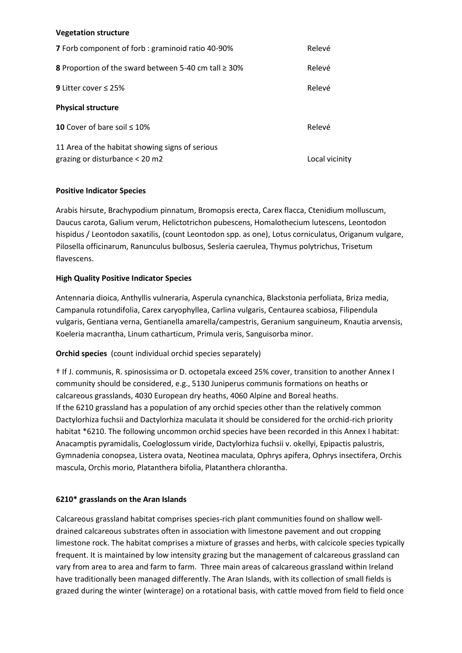#### **Vegetation structure**

| <b>7</b> Forb component of forb: graminoid ratio 40-90%                             | Relevé         |
|-------------------------------------------------------------------------------------|----------------|
| <b>8</b> Proportion of the sward between 5-40 cm tall $\geq$ 30%                    | Relevé         |
| <b>9</b> Litter cover $\leq$ 25%                                                    | Relevé         |
| <b>Physical structure</b>                                                           |                |
| 10 Cover of bare soil $< 10\%$                                                      | Relevé         |
| 11 Area of the habitat showing signs of serious<br>grazing or disturbance $<$ 20 m2 | Local vicinity |

#### **Positive Indicator Species**

Arabis hirsute, Brachypodium pinnatum, Bromopsis erecta, Carex flacca, Ctenidium molluscum, Daucus carota, Galium verum, Helictotrichon pubescens, Homalothecium lutescens, Leontodon hispidus / Leontodon saxatilis, (count Leontodon spp. as one), Lotus corniculatus, Origanum vulgare, Pilosella officinarum, Ranunculus bulbosus, Sesleria caerulea, Thymus polytrichus, Trisetum flavescens.

#### **High Quality Positive Indicator Species**

Antennaria dioica, Anthyllis vulneraria, Asperula cynanchica, Blackstonia perfoliata, Briza media, Campanula rotundifolia, Carex caryophyllea, Carlina vulgaris, Centaurea scabiosa, Filipendula vulgaris, Gentiana verna, Gentianella amarella/campestris, Geranium sanguineum, Knautia arvensis, Koeleria macrantha, Linum catharticum, Primula veris, Sanguisorba minor.

## **Orchid species** (count individual orchid species separately)

† If J. communis, R. spinosissima or D. octopetala exceed 25% cover, transition to another Annex I community should be considered, e.g., 5130 Juniperus communis formations on heaths or calcareous grasslands, 4030 European dry heaths, 4060 Alpine and Boreal heaths. If the 6210 grassland has a population of any orchid species other than the relatively common Dactylorhiza fuchsii and Dactylorhiza maculata it should be considered for the orchid-rich priority habitat \*6210. The following uncommon orchid species have been recorded in this Annex I habitat: Anacamptis pyramidalis, Coeloglossum viride, Dactylorhiza fuchsii v. okellyi, Epipactis palustris, Gymnadenia conopsea, Listera ovata, Neotinea maculata, Ophrys apifera, Ophrys insectifera, Orchis mascula, Orchis morio, Platanthera bifolia, Platanthera chlorantha.

#### **6210\* grasslands on the Aran Islands**

Calcareous grassland habitat comprises species-rich plant communities found on shallow welldrained calcareous substrates often in association with limestone pavement and out cropping limestone rock. The habitat comprises a mixture of grasses and herbs, with calcicole species typically frequent. It is maintained by low intensity grazing but the management of calcareous grassland can vary from area to area and farm to farm. Three main areas of calcareous grassland within Ireland have traditionally been managed differently. The Aran Islands, with its collection of small fields is grazed during the winter (winterage) on a rotational basis, with cattle moved from field to field once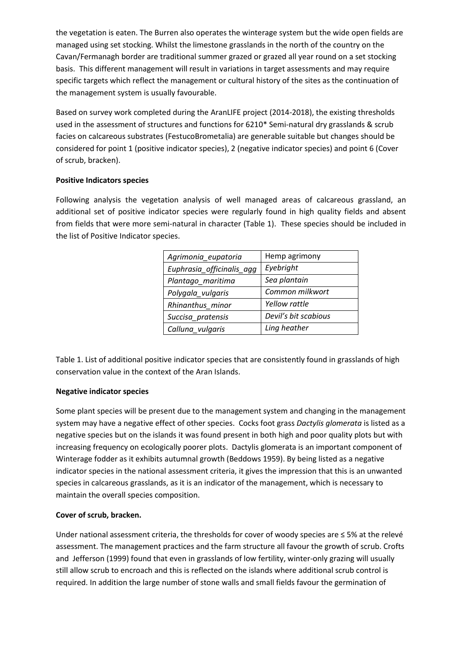the vegetation is eaten. The Burren also operates the winterage system but the wide open fields are managed using set stocking. Whilst the limestone grasslands in the north of the country on the Cavan/Fermanagh border are traditional summer grazed or grazed all year round on a set stocking basis. This different management will result in variations in target assessments and may require specific targets which reflect the management or cultural history of the sites as the continuation of the management system is usually favourable.

Based on survey work completed during the AranLIFE project (2014-2018), the existing thresholds used in the assessment of structures and functions for 6210\* Semi-natural dry grasslands & scrub facies on calcareous substrates (FestucoBrometalia) are generable suitable but changes should be considered for point 1 (positive indicator species), 2 (negative indicator species) and point 6 (Cover of scrub, bracken).

#### **Positive Indicators species**

Following analysis the vegetation analysis of well managed areas of calcareous grassland, an additional set of positive indicator species were regularly found in high quality fields and absent from fields that were more semi-natural in character (Table 1). These species should be included in the list of Positive Indicator species.

| Agrimonia_eupatoria       | Hemp agrimony        |
|---------------------------|----------------------|
| Euphrasia_officinalis_agg | Eyebright            |
| Plantago_maritima         | Sea plantain         |
| Polygala_vulgaris         | Common milkwort      |
| Rhinanthus minor          | Yellow rattle        |
| Succisa_pratensis         | Devil's bit scabious |
| Calluna_vulgaris          | Ling heather         |

Table 1. List of additional positive indicator species that are consistently found in grasslands of high conservation value in the context of the Aran Islands.

## **Negative indicator species**

Some plant species will be present due to the management system and changing in the management system may have a negative effect of other species. Cocks foot grass *Dactylis glomerata* is listed as a negative species but on the islands it was found present in both high and poor quality plots but with increasing frequency on ecologically poorer plots. Dactylis glomerata is an important component of Winterage fodder as it exhibits autumnal growth (Beddows 1959). By being listed as a negative indicator species in the national assessment criteria, it gives the impression that this is an unwanted species in calcareous grasslands, as it is an indicator of the management, which is necessary to maintain the overall species composition.

## **Cover of scrub, bracken.**

Under national assessment criteria, the thresholds for cover of woody species are ≤ 5% at the relevé assessment. The management practices and the farm structure all favour the growth of scrub. Crofts and Jefferson (1999) found that even in grasslands of low fertility, winter-only grazing will usually still allow scrub to encroach and this is reflected on the islands where additional scrub control is required. In addition the large number of stone walls and small fields favour the germination of